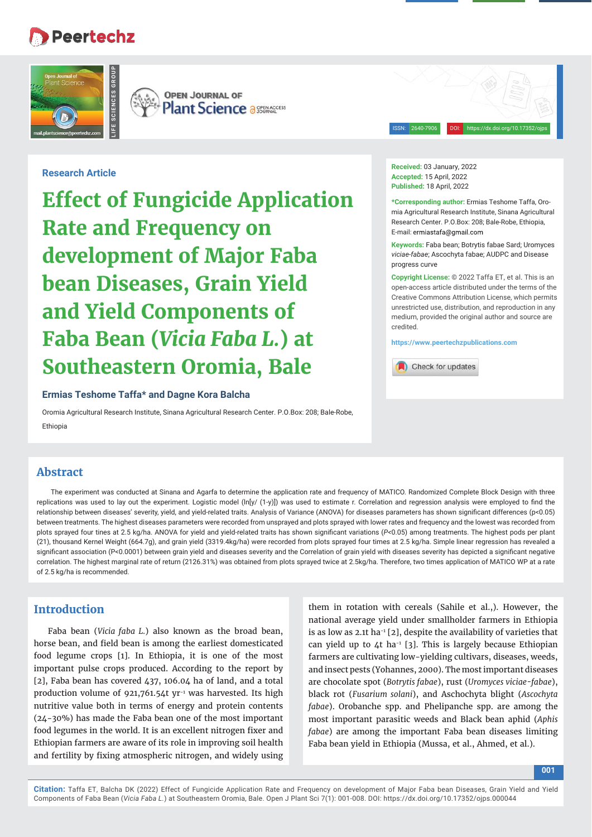# **Peertechz**



**OPEN JOURNAL OF Plant Science a SEERACCESS** 

ISSN: 2640-7906 DOI: https://dx.doi.org/10.17352/ojps

#### **Research Article**

**Effect of Fungicide Application Rate and Frequency on development of Major Faba bean Diseases, Grain Yield and Yield Components of Faba Bean (***Vicia Faba L.***) at Southeastern Oromia, Bale** 

#### **Ermias Teshome Taffa\* and Dagne Kora Balcha**

Oromia Agricultural Research Institute, Sinana Agricultural Research Center. P.O.Box: 208; Bale-Robe, Ethiopia

# **Abstract**

The experiment was conducted at Sinana and Agarfa to determine the application rate and frequency of MATICO. Randomized Complete Block Design with three replications was used to lay out the experiment. Logistic model  $(\ln[y/ (1-y)])$  was used to estimate r. Correlation and regression analysis were employed to find the relationship between diseases' severity, yield, and yield-related traits. Analysis of Variance (ANOVA) for diseases parameters has shown significant differences (p<0.05) between treatments. The highest diseases parameters were recorded from unsprayed and plots sprayed with lower rates and frequency and the lowest was recorded from plots sprayed four tines at 2.5 kg/ha. ANOVA for yield and yield-related traits has shown significant variations ( $P<0.05$ ) among treatments. The highest pods per plant (21), thousand Kernel Weight (664.7g), and grain yield (3319.4kg/ha) were recorded from plots sprayed four times at 2.5 kg/ha. Simple linear regression has revealed a significant association (P<0.0001) between grain yield and diseases severity and the Correlation of grain yield with diseases severity has depicted a significant negative correlation. The highest marginal rate of return (2126.31%) was obtained from plots sprayed twice at 2.5kg/ha. Therefore, two times application of MATICO WP at a rate of 2.5 kg/ha is recommended.

# **Introduction**

Faba bean (*Vicia faba L.*) also known as the broad bean, horse bean, and field bean is among the earliest domesticated food legume crops [1]. In Ethiopia, it is one of the most important pulse crops produced. According to the report by [2], Faba bean has covered 437, 106.04 ha of land, and a total production volume of 921,761.54t yr<sup>-1</sup> was harvested. Its high nutritive value both in terms of energy and protein contents (24-30%) has made the Faba bean one of the most important food legumes in the world. It is an excellent nitrogen fixer and Ethiopian farmers are aware of its role in improving soil health and fertility by fixing atmospheric nitrogen, and widely using

them in rotation with cereals (Sahile et al.,). However, the national average yield under smallholder farmers in Ethiopia is as low as 2.1t ha<sup>-1</sup> [2], despite the availability of varieties that can yield up to  $4t$  ha<sup>-1</sup> [3]. This is largely because Ethiopian farmers are cultivating low-yielding cultivars, diseases, weeds, and insect pests (Yohannes, 2000). The most important diseases are chocolate spot (*Botrytis fabae*), rust (*Uromyces viciae-fabae*), black rot (*Fusarium solani*), and Aschochyta blight (*Ascochyta fabae*). Orobanche spp. and Phelipanche spp. are among the most important parasitic weeds and Black bean aphid (*Aphis fabae*) are among the important Faba bean diseases limiting Faba bean yield in Ethiopia (Mussa, et al., Ahmed, et al.).

**Received:** 03 January, 2022 **Accepted:** 15 April, 2022 **Published:** 18 April, 2022

**\*Corresponding author:** Ermias Teshome Taffa, Oromia Agricultural Research Institute, Sinana Agricultural Research Center. P.O.Box: 208; Bale-Robe, Ethiopia, E-mail: ermiastafa@gmail.com

**Keywords:** Faba bean; Botrytis fabae Sard; Uromyces *viciae-fabae*; Ascochyta fabae; AUDPC and Disease progress curve

**Copyright License:** © 2022 Taffa ET, et al. This is an open-access article distributed under the terms of the Creative Commons Attribution License, which permits unrestricted use, distribution, and reproduction in any medium, provided the original author and source are credited.

**https://www.peertechzpublications.com**

Check for updates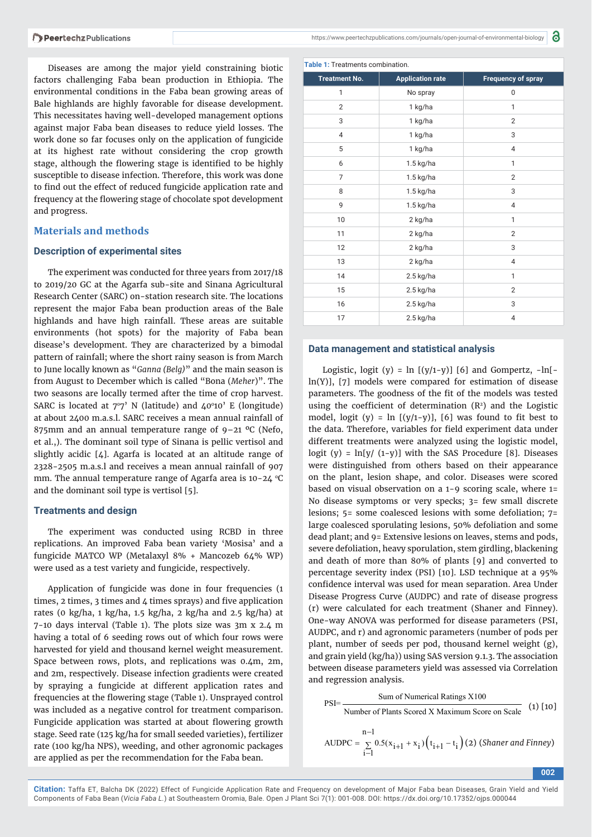Diseases are among the major yield constraining biotic factors challenging Faba bean production in Ethiopia. The environmental conditions in the Faba bean growing areas of Bale highlands are highly favorable for disease development. This necessitates having well-developed management options against major Faba bean diseases to reduce yield losses. The work done so far focuses only on the application of fungicide at its highest rate without considering the crop growth stage, although the flowering stage is identified to be highly susceptible to disease infection. Therefore, this work was done to find out the effect of reduced fungicide application rate and frequency at the flowering stage of chocolate spot development and progress.

#### **Materials and methods**

#### **Description of experimental sites**

The experiment was conducted for three years from 2017/18 to 2019/20 GC at the Agarfa sub-site and Sinana Agricultural Research Center (SARC) on-station research site. The locations represent the major Faba bean production areas of the Bale highlands and have high rainfall. These areas are suitable environments (hot spots) for the majority of Faba bean disease's development. They are characterized by a bimodal pattern of rainfall; where the short rainy season is from March to June locally known as "*Ganna (Belg)*" and the main season is from August to December which is called "Bona (*Meher*)". The two seasons are locally termed after the time of crop harvest. SARC is located at  $7°7'$  N (latitude) and  $40°10'$  E (longitude) at about 2400 m.a.s.l. SARC receives a mean annual rainfall of 875mm and an annual temperature range of  $9-21$  °C (Nefo, et al.,). The dominant soil type of Sinana is pellic vertisol and slightly acidic [4]. Agarfa is located at an altitude range of 2328-2505 m.a.s.l and receives a mean annual rainfall of 907 mm. The annual temperature range of Agarfa area is  $10-24$  °C and the dominant soil type is vertisol [5].

#### **Treatments and design**

The experiment was conducted using RCBD in three replications. An improved Faba bean variety 'Mosisa' and a fungicide MATCO WP (Metalaxyl 8% + Mancozeb 64% WP) were used as a test variety and fungicide, respectively.

Application of fungicide was done in four frequencies (1 times, 2 times, 3 times and  $4$  times sprays) and five application rates (0 kg/ha, 1 kg/ha, 1.5 kg/ha, 2 kg/ha and 2.5 kg/ha) at 7-10 days interval (Table 1). The plots size was 3m x 2.4 m having a total of 6 seeding rows out of which four rows were harvested for yield and thousand kernel weight measurement. Space between rows, plots, and replications was 0.4m, 2m, and 2m, respectively. Disease infection gradients were created by spraying a fungicide at different application rates and frequencies at the flowering stage (Table 1). Unsprayed control was included as a negative control for treatment comparison. Fungicide application was started at about flowering growth stage. Seed rate (125 kg/ha for small seeded varieties), fertilizer rate (100 kg/ha NPS), weeding, and other agronomic packages are applied as per the recommendation for the Faba bean.

| <b>Table 1: Treatments combination.</b> |  |
|-----------------------------------------|--|
|-----------------------------------------|--|

| <b>Treatment No.</b> | <b>Application rate</b> | <b>Frequency of spray</b> |
|----------------------|-------------------------|---------------------------|
| 1                    | No spray                | 0                         |
| $\overline{2}$       | 1 kg/ha                 | 1                         |
| 3                    | 1 kg/ha                 | $\overline{2}$            |
| $\overline{4}$       | 1 kg/ha                 | 3                         |
| 5                    | 1 kg/ha                 | $\overline{4}$            |
| 6                    | $1.5$ kg/ha             | 1                         |
| $\overline{7}$       | $1.5$ kg/ha             | $\overline{2}$            |
| 8                    | $1.5$ kg/ha             | 3                         |
| 9                    | $1.5$ kg/ha             | $\overline{4}$            |
| 10                   | 2 kg/ha                 | $\mathbf{1}$              |
| 11                   | 2 kg/ha                 | $\overline{2}$            |
| 12                   | 2 kg/ha                 | 3                         |
| 13                   | 2 kg/ha                 | $\overline{4}$            |
| 14                   | $2.5$ kg/ha             | 1                         |
| 15                   | 2.5 kg/ha               | $\overline{2}$            |
| 16                   | $2.5$ kg/ha             | 3                         |
| 17                   | $2.5$ kg/ha             | 4                         |

#### **Data management and statistical analysis**

Logistic, logit (y) =  $\ln$  [(y/1-y)] [6] and Gompertz, - $\ln$ [ln(Y)], [7] models were compared for estimation of disease parameters. The goodness of the fit of the models was tested using the coefficient of determination  $(R<sup>2</sup>)$  and the Logistic model, logit (y) =  $\ln$  [(y/1-y)], [6] was found to fit best to the data. Therefore, variables for field experiment data under different treatments were analyzed using the logistic model, logit (y) =  $ln[y/(1-y)]$  with the SAS Procedure [8]. Diseases were distinguished from others based on their appearance on the plant, lesion shape, and color. Diseases were scored based on visual observation on a 1-9 scoring scale, where 1= No disease symptoms or very specks; 3= few small discrete lesions; 5= some coalesced lesions with some defoliation; 7= large coalesced sporulating lesions, 50% defoliation and some dead plant; and 9= Extensive lesions on leaves, stems and pods, severe defoliation, heavy sporulation, stem girdling, blackening and death of more than 80% of plants [9] and converted to percentage severity index (PSI) [10]. LSD technique at a 95% confidence interval was used for mean separation. Area Under Disease Progress Curve (AUDPC) and rate of disease progress (r) were calculated for each treatment (Shaner and Finney). One-way ANOVA was performed for disease parameters (PSI, AUDPC, and r) and agronomic parameters (number of pods per plant, number of seeds per pod, thousand kernel weight (g), and grain yield (kg/ha)) using SAS version 9.1.3. The association between disease parameters yield was assessed via Correlation and regression analysis.

Sum of Numerical Ratings X100  $PSI =$ Number of Plants Scored X Maximum Score on Scale (1) [10]  $(t_{i+1} - t_i)$  $n-1$ AUDPC =  $\sum_{i=1} 0.5(x_{i+1} + x_i) (t_{i+1} - t_i)$ į.  $=\sum_{i=1}^{6} 0.5(x_{i+1} + x_i)(t_{i+1} - t_i)(2)$  (Shaner and Finney)

**002**

**Citation:** Taffa ET, Balcha DK (2022) Effect of Fungicide Application Rate and Frequency on development of Major Faba bean Diseases, Grain Yield and Yield Components of Faba Bean (*Vicia Faba L.*) at Southeastern Oromia, Bale. Open J Plant Sci 7(1): 001-008. DOI: https://dx.doi.org/10.17352/ojps.000044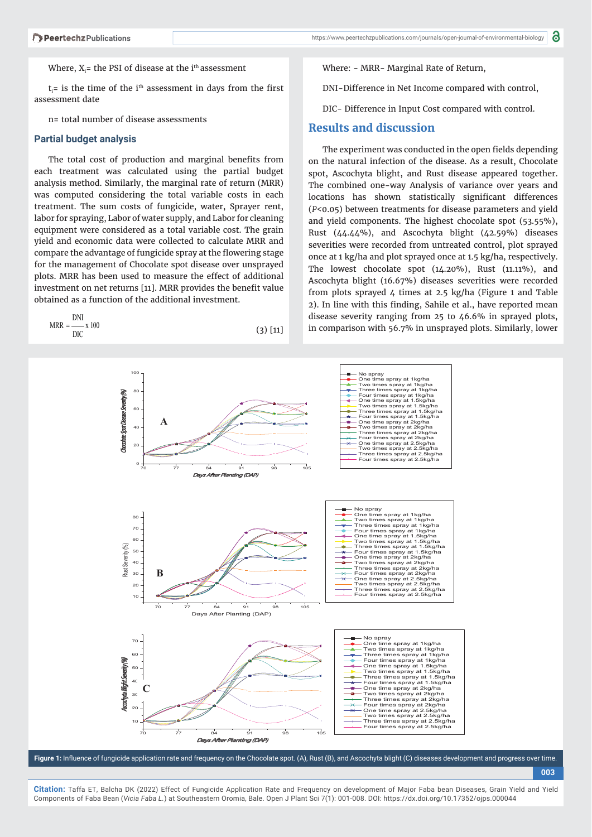#### Where,  $\rm X_i$ = the PSI of disease at the i $^{\rm th}$  assessment

 $t_i$ = is the time of the i<sup>th</sup> assessment in days from the first assessment date

n= total number of disease assessments

#### **Partial budget analysis**

DNI

The total cost of production and marginal benefits from each treatment was calculated using the partial budget analysis method. Similarly, the marginal rate of return (MRR) was computed considering the total variable costs in each treatment. The sum costs of fungicide, water, Sprayer rent, labor for spraying, Labor of water supply, and Labor for cleaning equipment were considered as a total variable cost. The grain yield and economic data were collected to calculate MRR and compare the advantage of fungicide spray at the flowering stage for the management of Chocolate spot disease over unsprayed plots. MRR has been used to measure the effect of additional investment on net returns [11]. MRR provides the benefit value obtained as a function of the additional investment.

$$
MRR = \frac{DN}{DIC} x 100
$$
 (3) [11]

Where: - MRR- Marginal Rate of Return,

DNI-Difference in Net Income compared with control,

DIC- Difference in Input Cost compared with control.

### **Results and discussion**

The experiment was conducted in the open fields depending on the natural infection of the disease. As a result, Chocolate spot, Ascochyta blight, and Rust disease appeared together. The combined one-way Analysis of variance over years and locations has shown statistically significant differences (*P<*0.05) between treatments for disease parameters and yield and yield components. The highest chocolate spot (53.55%), Rust (44.44%), and Ascochyta blight (42.59%) diseases severities were recorded from untreated control, plot sprayed once at 1 kg/ha and plot sprayed once at 1.5 kg/ha, respectively. The lowest chocolate spot (14.20%), Rust (11.11%), and Ascochyta blight (16.67%) diseases severities were recorded from plots sprayed 4 times at 2.5 kg/ha (Figure 1 and Table 2). In line with this finding, Sahile et al., have reported mean disease severity ranging from 25 to 46.6% in sprayed plots, in comparison with 56.7% in unsprayed plots. Similarly, lower



Figure 1: Influence of fungicide application rate and frequency on the Chocolate spot. (A), Rust (B), and Ascochyta blight (C) diseases development and progress over time.

**Citation:** Taffa ET, Balcha DK (2022) Effect of Fungicide Application Rate and Frequency on development of Major Faba bean Diseases, Grain Yield and Yield Components of Faba Bean (*Vicia Faba L.*) at Southeastern Oromia, Bale. Open J Plant Sci 7(1): 001-008. DOI: https://dx.doi.org/10.17352/ojps.000044

**<sup>003</sup>**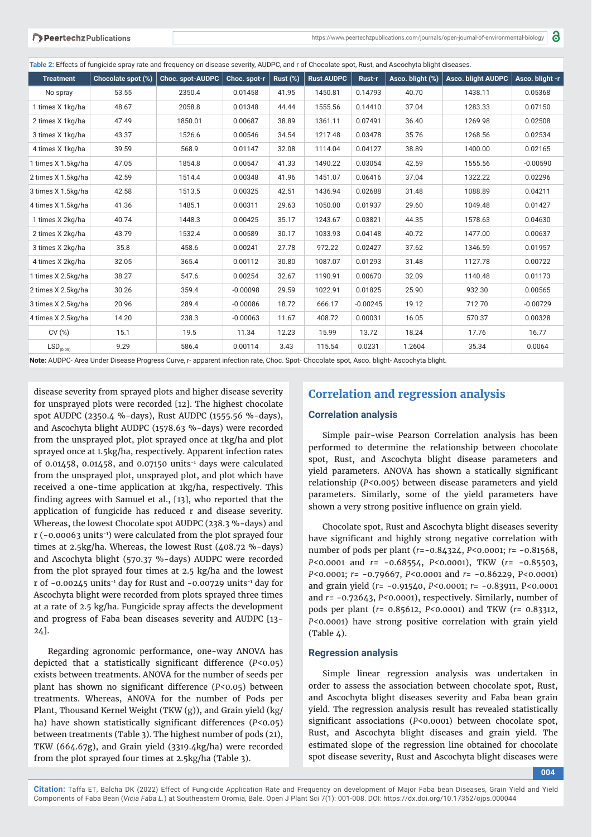**Table 2:** Effects of fungicide spray rate and frequency on disease severity, AUDPC, and r of Chocolate spot, Rust, and Ascochyta blight diseases.

| <b>Treatment</b>        | Chocolate spot (%) | <b>Choc. spot-AUDPC</b> | Choc. spot-r | Rust (%) | <b>Rust AUDPC</b> | Rust-r     | Asco. blight (%) | <b>Asco. blight AUDPC</b> | Asco. blight -r |
|-------------------------|--------------------|-------------------------|--------------|----------|-------------------|------------|------------------|---------------------------|-----------------|
| No spray                | 53.55              | 2350.4                  | 0.01458      | 41.95    | 1450.81           | 0.14793    | 40.70            | 1438.11                   | 0.05368         |
| 1 times X 1kg/ha        | 48.67              | 2058.8                  | 0.01348      | 44.44    | 1555.56           | 0.14410    | 37.04            | 1283.33                   | 0.07150         |
| 2 times X 1kg/ha        | 47.49              | 1850.01                 | 0.00687      | 38.89    | 1361.11           | 0.07491    | 36.40            | 1269.98                   | 0.02508         |
| 3 times X 1kg/ha        | 43.37              | 1526.6                  | 0.00546      | 34.54    | 1217.48           | 0.03478    | 35.76            | 1268.56                   | 0.02534         |
| 4 times X 1kg/ha        | 39.59              | 568.9                   | 0.01147      | 32.08    | 1114.04           | 0.04127    | 38.89            | 1400.00                   | 0.02165         |
| 1 times X 1.5kg/ha      | 47.05              | 1854.8                  | 0.00547      | 41.33    | 1490.22           | 0.03054    | 42.59            | 1555.56                   | $-0.00590$      |
| 2 times X 1.5kg/ha      | 42.59              | 1514.4                  | 0.00348      | 41.96    | 1451.07           | 0.06416    | 37.04            | 1322.22                   | 0.02296         |
| 3 times X 1.5kg/ha      | 42.58              | 1513.5                  | 0.00325      | 42.51    | 1436.94           | 0.02688    | 31.48            | 1088.89                   | 0.04211         |
| 4 times X 1.5kg/ha      | 41.36              | 1485.1                  | 0.00311      | 29.63    | 1050.00           | 0.01937    | 29.60            | 1049.48                   | 0.01427         |
| 1 times X 2kg/ha        | 40.74              | 1448.3                  | 0.00425      | 35.17    | 1243.67           | 0.03821    | 44.35            | 1578.63                   | 0.04630         |
| 2 times X 2kg/ha        | 43.79              | 1532.4                  | 0.00589      | 30.17    | 1033.93           | 0.04148    | 40.72            | 1477.00                   | 0.00637         |
| 3 times X 2kg/ha        | 35.8               | 458.6                   | 0.00241      | 27.78    | 972.22            | 0.02427    | 37.62            | 1346.59                   | 0.01957         |
| 4 times X 2kg/ha        | 32.05              | 365.4                   | 0.00112      | 30.80    | 1087.07           | 0.01293    | 31.48            | 1127.78                   | 0.00722         |
| 1 times X 2.5kg/ha      | 38.27              | 547.6                   | 0.00254      | 32.67    | 1190.91           | 0.00670    | 32.09            | 1140.48                   | 0.01173         |
| 2 times X 2.5kg/ha      | 30.26              | 359.4                   | $-0.00098$   | 29.59    | 1022.91           | 0.01825    | 25.90            | 932.30                    | 0.00565         |
| 3 times X 2.5kg/ha      | 20.96              | 289.4                   | $-0.00086$   | 18.72    | 666.17            | $-0.00245$ | 19.12            | 712.70                    | $-0.00729$      |
| 4 times X 2.5kg/ha      | 14.20              | 238.3                   | $-0.00063$   | 11.67    | 408.72            | 0.00031    | 16.05            | 570.37                    | 0.00328         |
| CV(%)                   | 15.1               | 19.5                    | 11.34        | 12.23    | 15.99             | 13.72      | 18.24            | 17.76                     | 16.77           |
| $\mathsf{LSD}_{(0.05)}$ | 9.29               | 586.4                   | 0.00114      | 3.43     | 115.54            | 0.0231     | 1.2604           | 35.34                     | 0.0064          |

**Note:** AUDPC- Area Under Disease Progress Curve, r- apparent infection rate, Choc. Spot- Chocolate spot, Asco. blight- Ascochyta blight.

disease severity from sprayed plots and higher disease severity for unsprayed plots were recorded [12]. The highest chocolate spot AUDPC (2350.4 %-days), Rust AUDPC (1555.56 %-days), and Ascochyta blight AUDPC (1578.63 %-days) were recorded from the unsprayed plot, plot sprayed once at 1kg/ha and plot sprayed once at 1.5kg/ha, respectively. Apparent infection rates of 0.01458, 0.01458, and 0.07150 units-1 days were calculated from the unsprayed plot, unsprayed plot, and plot which have received a one-time application at 1kg/ha, respectively. This finding agrees with Samuel et al., [13], who reported that the application of fungicide has reduced r and disease severity. Whereas, the lowest Chocolate spot AUDPC (238.3 %-days) and r (-0.00063 units-1) were calculated from the plot sprayed four times at 2.5kg/ha. Whereas, the lowest Rust (408.72 %-days) and Ascochyta blight (570.37 %-days) AUDPC were recorded from the plot sprayed four times at 2.5 kg/ha and the lowest r of  $-0.00245$  units<sup>-1</sup> day for Rust and  $-0.00729$  units<sup>-1</sup> day for Ascochyta blight were recorded from plots sprayed three times at a rate of 2.5 kg/ha. Fungicide spray affects the development and progress of Faba bean diseases severity and AUDPC [13- 24].

Regarding agronomic performance, one-way ANOVA has depicted that a statistically significant difference ( $P < 0.05$ ) exists between treatments. ANOVA for the number of seeds per plant has shown no significant difference (*P*<0.05) between treatments. Whereas, ANOVA for the number of Pods per Plant, Thousand Kernel Weight (TKW (g)), and Grain yield (kg/ ha) have shown statistically significant differences (*P<*0.05) between treatments (Table 3). The highest number of pods (21), TKW (664.67g), and Grain yield (3319.4kg/ha) were recorded from the plot sprayed four times at 2.5kg/ha (Table 3).

# **Correlation and regression analysis**

#### **Correlation analysis**

Simple pair-wise Pearson Correlation analysis has been performed to determine the relationship between chocolate spot, Rust, and Ascochyta blight disease parameters and yield parameters. ANOVA has shown a statically significant relationship (*P<*0.005) between disease parameters and yield parameters. Similarly, some of the yield parameters have shown a very strong positive influence on grain yield.

Chocolate spot, Rust and Ascochyta blight diseases severity have significant and highly strong negative correlation with number of pods per plant (*r*=-0.84324, *P<*0.0001; *r*= -0.81568, *P<*0.0001 and *r*= -0.68554, *P<*0.0001), TKW (*r*= -0.85503, *P<*0.0001; *r*= -0.79667, *P<*0.0001 and *r*= -0.86229, P<0.0001) and grain yield (*r*= -0.91540, *P<*0.0001; *r*= -0.83911, P<0.0001 and *r*= -0.72643, *P<*0.0001), respectively. Similarly, number of pods per plant (*r*= 0.85612, *P<*0.0001) and TKW (*r*= 0.83312, *P<*0.0001) have strong positive correlation with grain yield  $(Table 4).$ 

#### **Regression analysis**

Simple linear regression analysis was undertaken in order to assess the association between chocolate spot, Rust, and Ascochyta blight diseases severity and Faba bean grain yield. The regression analysis result has revealed statistically significant associations (*P<*0.0001) between chocolate spot, Rust, and Ascochyta blight diseases and grain yield. The estimated slope of the regression line obtained for chocolate spot disease severity, Rust and Ascochyta blight diseases were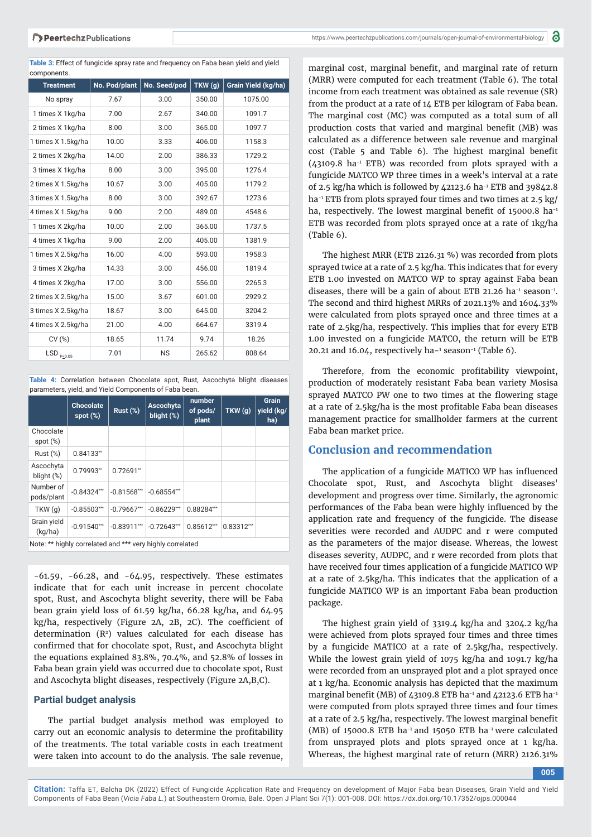**Table 3:** Effect of fungicide spray rate and frequency on Faba bean yield and yield components.

| <b>Treatment</b>                      | No. Pod/plant | No. Seed/pod | TKW(g) | Grain Yield (kg/ha) |
|---------------------------------------|---------------|--------------|--------|---------------------|
| No spray                              | 7.67          | 3.00         | 350.00 | 1075.00             |
| 1 times X 1kg/ha                      | 7.00          | 2.67         | 340.00 | 1091.7              |
| 2 times X 1 kg/ha                     | 8.00          | 3.00         | 365.00 | 1097.7              |
| 1 times X 1.5kg/ha                    | 10.00         | 3.33         | 406.00 | 1158.3              |
| 2 times X 2kg/ha                      | 14.00         | 2.00         | 386.33 | 1729.2              |
| 3 times X 1kg/ha                      | 8.00          | 3.00         | 395.00 | 1276.4              |
| 2 times X 1.5kg/ha                    | 10.67         | 3.00         | 405.00 | 1179.2              |
| 3 times X 1.5kg/ha                    | 8.00          | 3.00         | 392.67 | 1273.6              |
| 4 times X 1.5kg/ha                    | 9.00          | 2.00         | 489.00 | 4548.6              |
| 1 times X 2kg/ha                      | 10.00         | 2.00         | 365.00 | 1737.5              |
| 4 times X 1 kg/ha                     | 9.00          | 2.00         | 405.00 | 1381.9              |
| 1 times X 2.5kg/ha                    | 16.00         | 4.00         | 593.00 | 1958.3              |
| 3 times X 2kg/ha                      | 14.33         | 3.00         | 456.00 | 1819.4              |
| 4 times X 2kg/ha                      | 17.00         | 3.00         | 556.00 | 2265.3              |
| 2 times X 2.5kg/ha                    | 15.00         | 3.67         | 601.00 | 2929.2              |
| 3 times X 2.5kg/ha                    | 18.67         | 3.00         | 645.00 | 3204.2              |
| 4 times X 2.5kg/ha                    | 21.00         | 4.00         | 664.67 | 3319.4              |
| CV(%)                                 | 18.65         | 11.74        | 9.74   | 18.26               |
| $\textsf{LSD}_{\texttt{P} \leq 0.05}$ | 7.01          | <b>NS</b>    | 265.62 | 808.64              |

**Table 4:** Correlation between Chocolate spot, Rust, Ascochyta blight diseases parameters, yield, and Yield Components of Faba bean.

|                                                           | <b>Chocolate</b><br>spot $(\%)$ | Rust $(\%)$   | <b>Ascochyta</b><br>blight $(\%)$ | number<br>of pods/<br>plant | TKW(g)     | <b>Grain</b><br>yield (kg/<br>ha) |  |  |
|-----------------------------------------------------------|---------------------------------|---------------|-----------------------------------|-----------------------------|------------|-----------------------------------|--|--|
| Chocolate<br>spot $(\%)$                                  |                                 |               |                                   |                             |            |                                   |  |  |
| Rust(%)                                                   | $0.84133**$                     |               |                                   |                             |            |                                   |  |  |
| Ascochyta<br>blight $(\%)$                                | 0.79993**                       | $0.72691**$   |                                   |                             |            |                                   |  |  |
| Number of<br>pods/plant                                   | $-0.84324***$                   | $-0.81568***$ | $-0.68554***$                     |                             |            |                                   |  |  |
| TKW(q)                                                    | $-0.85503***$                   | $-0.79667***$ | $-0.86229***$                     | $0.88284***$                |            |                                   |  |  |
| Grain yield<br>(kg/ha)                                    | $-0.91540***$                   | $-0.83911***$ | $-0.72643***$                     | 0.85612***                  | 0.83312*** |                                   |  |  |
| Note: ** highly correlated and *** very highly correlated |                                 |               |                                   |                             |            |                                   |  |  |

-61.59, -66.28, and -64.95, respectively. These estimates indicate that for each unit increase in percent chocolate spot, Rust, and Ascochyta blight severity, there will be Faba bean grain yield loss of  $61.59$  kg/ha,  $66.28$  kg/ha, and  $64.95$  $kg/ha$ , respectively (Figure 2A, 2B, 2C). The coefficient of determination  $(R^2)$  values calculated for each disease has confirmed that for chocolate spot, Rust, and Ascochyta blight the equations explained 83.8%, 70.4%, and 52.8% of losses in Faba bean grain yield was occurred due to chocolate spot, Rust and Ascochyta blight diseases, respectively (Figure 2A,B,C).

## **Partial budget analysis**

The partial budget analysis method was employed to carry out an economic analysis to determine the profitability of the treatments. The total variable costs in each treatment were taken into account to do the analysis. The sale revenue,

marginal cost, marginal benefit, and marginal rate of return (MRR) were computed for each treatment (Table 6). The total income from each treatment was obtained as sale revenue (SR) from the product at a rate of 14 ETB per kilogram of Faba bean. The marginal cost (MC) was computed as a total sum of all production costs that varied and marginal benefit (MB) was calculated as a difference between sale revenue and marginal  $cost$  (Table  $5$  and Table  $6$ ). The highest marginal benefit  $(43109.8 \text{ ha}^{-1}$  ETB) was recorded from plots sprayed with a fungicide MATCO WP three times in a week's interval at a rate of 2.5 kg/ha which is followed by  $\text{\textsterling}2123.6$  ha<sup>-1</sup> ETB and 39842.8 ha<sup>-1</sup> ETB from plots sprayed four times and two times at 2.5 kg/ ha, respectively. The lowest marginal benefit of  $15000.8$  ha<sup>-1</sup> ETB was recorded from plots sprayed once at a rate of 1kg/ha (Table 6).

The highest MRR (ETB 2126.31 %) was recorded from plots sprayed twice at a rate of 2.5 kg/ha. This indicates that for every ETB 1.00 invested on MATCO WP to spray against Faba bean diseases, there will be a gain of about ETB 21.26 ha<sup>-1</sup> season<sup>-1</sup>. The second and third highest MRRs of 2021.13% and 1604.33% were calculated from plots sprayed once and three times at a rate of 2.5kg/ha, respectively. This implies that for every ETB 1.00 invested on a fungicide MATCO, the return will be ETB 20.21 and  $16.04$ , respectively ha $-1$  season $-1$  (Table 6).

Therefore, from the economic profitability viewpoint, production of moderately resistant Faba bean variety Mosisa sprayed MATCO PW one to two times at the flowering stage at a rate of 2.5kg/ha is the most profitable Faba bean diseases management practice for smallholder farmers at the current Faba bean market price.

# **Conclusion and recommendation**

The application of a fungicide MATICO WP has influenced Chocolate spot, Rust, and Ascochyta blight diseases' development and progress over time. Similarly, the agronomic performances of the Faba bean were highly influenced by the application rate and frequency of the fungicide. The disease severities were recorded and AUDPC and r were computed as the parameters of the major disease. Whereas, the lowest diseases severity, AUDPC, and r were recorded from plots that have received four times application of a fungicide MATICO WP at a rate of 2.5kg/ha. This indicates that the application of a fungicide MATICO WP is an important Faba bean production package.

The highest grain yield of 3319.4 kg/ha and 3204.2 kg/ha were achieved from plots sprayed four times and three times by a fungicide MATICO at a rate of 2.5kg/ha, respectively. While the lowest grain yield of 1075 kg/ha and 1091.7 kg/ha were recorded from an unsprayed plot and a plot sprayed once at 1 kg/ha. Economic analysis has depicted that the maximum marginal benefit (MB) of  $\text{\textsterling}3109.8$  ETB ha<sup>-1</sup> and  $\text{\textsterling}2123.6$  ETB ha<sup>-1</sup> were computed from plots sprayed three times and four times at a rate of 2.5 kg/ha, respectively. The lowest marginal benefit (MB) of 15000.8 ETB ha<sup>-1</sup> and 15050 ETB ha<sup>-1</sup> were calculated from unsprayed plots and plots sprayed once at 1 kg/ha. Whereas, the highest marginal rate of return (MRR) 2126.31%

**005**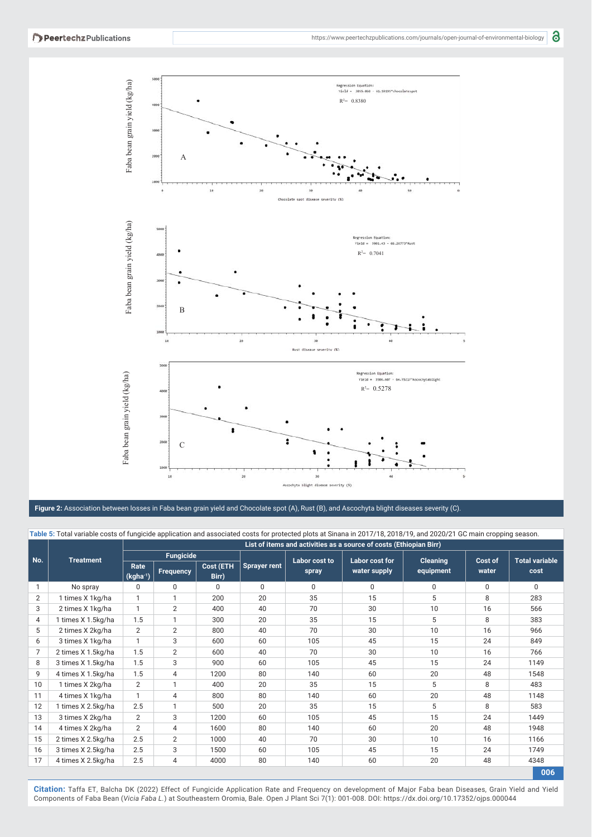

**Figure 2:** Association between losses in Faba bean grain yield and Chocolate spot (A), Rust (B), and Ascochyta blight diseases severity (C).

|                | Table 5: Total variable costs of fungicide application and associated costs for protected plots at Sinana in 2017/18, 2018/19, and 2020/21 GC main cropping season. |                                                                    |                  |                    |                     |                |              |                              |                       |      |  |  |
|----------------|---------------------------------------------------------------------------------------------------------------------------------------------------------------------|--------------------------------------------------------------------|------------------|--------------------|---------------------|----------------|--------------|------------------------------|-----------------------|------|--|--|
|                |                                                                                                                                                                     | List of items and activities as a source of costs (Ethiopian Birr) |                  |                    |                     |                |              |                              |                       |      |  |  |
| No.            | <b>Treatment</b>                                                                                                                                                    | <b>Fungicide</b>                                                   |                  |                    | Labor cost to       | Labor cost for |              |                              | <b>Total variable</b> |      |  |  |
|                |                                                                                                                                                                     | Rate<br>(kgha <sup>-1</sup> )                                      | <b>Frequency</b> | Cost (ETH<br>Birr) | <b>Sprayer rent</b> | spray          | water supply | <b>Cleaning</b><br>equipment | Cost of<br>water      | cost |  |  |
|                | No spray                                                                                                                                                            | 0                                                                  | 0                | 0                  | $\mathbf 0$         | 0              | 0            | $\mathbf 0$                  | 0                     | 0    |  |  |
| $\overline{2}$ | 1 times X 1kg/ha                                                                                                                                                    |                                                                    |                  | 200                | 20                  | 35             | 15           | 5                            | 8                     | 283  |  |  |
| 3              | 2 times X 1kg/ha                                                                                                                                                    |                                                                    | $\overline{2}$   | 400                | 40                  | 70             | 30           | 10                           | 16                    | 566  |  |  |
| 4              | 1 times X 1.5kg/ha                                                                                                                                                  | 1.5                                                                | 1                | 300                | 20                  | 35             | 15           | 5                            | 8                     | 383  |  |  |
| 5              | 2 times X 2kg/ha                                                                                                                                                    | 2                                                                  | $\overline{2}$   | 800                | 40                  | 70             | 30           | 10                           | 16                    | 966  |  |  |
| 6              | 3 times X 1kg/ha                                                                                                                                                    |                                                                    | 3                | 600                | 60                  | 105            | 45           | 15                           | 24                    | 849  |  |  |
| 7              | 2 times X 1.5kg/ha                                                                                                                                                  | 1.5                                                                | $\overline{2}$   | 600                | 40                  | 70             | 30           | 10                           | 16                    | 766  |  |  |
| 8              | 3 times X 1.5kg/ha                                                                                                                                                  | 1.5                                                                | 3                | 900                | 60                  | 105            | 45           | 15                           | 24                    | 1149 |  |  |
| 9              | 4 times X 1.5kg/ha                                                                                                                                                  | 1.5                                                                | 4                | 1200               | 80                  | 140            | 60           | 20                           | 48                    | 1548 |  |  |
| 10             | 1 times X 2kg/ha                                                                                                                                                    | $\overline{2}$                                                     |                  | 400                | 20                  | 35             | 15           | 5                            | 8                     | 483  |  |  |
| 11             | 4 times X 1kg/ha                                                                                                                                                    |                                                                    | 4                | 800                | 80                  | 140            | 60           | 20                           | 48                    | 1148 |  |  |
| 12             | 1 times X 2.5kg/ha                                                                                                                                                  | 2.5                                                                | 1                | 500                | 20                  | 35             | 15           | 5                            | 8                     | 583  |  |  |
| 13             | 3 times X 2kg/ha                                                                                                                                                    | $\overline{2}$                                                     | 3                | 1200               | 60                  | 105            | 45           | 15                           | 24                    | 1449 |  |  |
| 14             | 4 times X 2kg/ha                                                                                                                                                    | $\overline{2}$                                                     | $\overline{4}$   | 1600               | 80                  | 140            | 60           | 20                           | 48                    | 1948 |  |  |
| 15             | 2 times X 2.5kg/ha                                                                                                                                                  | 2.5                                                                | $\overline{2}$   | 1000               | 40                  | 70             | 30           | 10                           | 16                    | 1166 |  |  |
| 16             | 3 times X 2.5kg/ha                                                                                                                                                  | 2.5                                                                | 3                | 1500               | 60                  | 105            | 45           | 15                           | 24                    | 1749 |  |  |
| 17             | 4 times X 2.5kg/ha                                                                                                                                                  | 2.5                                                                | 4                | 4000               | 80                  | 140            | 60           | 20                           | 48                    | 4348 |  |  |

Citation: Taffa ET, Balcha DK (2022) Effect of Fungicide Application Rate and Frequency on development of Major Faba bean Diseases, Grain Yield and Yield<br>Components of Faba Bean (Vicia Faba L.) at Southeastern Oromia, Bale

**006**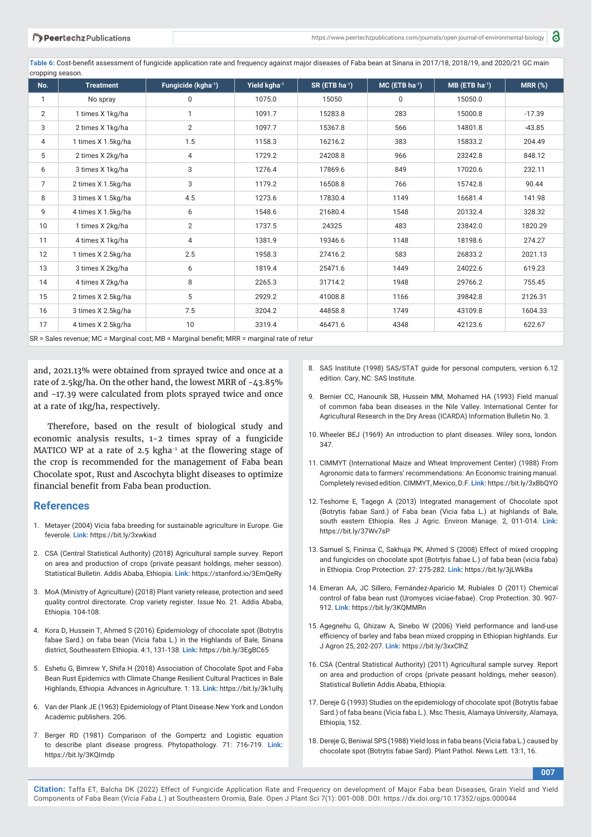Table 6: Cost-benefit assessment of fungicide application rate and frequency against major diseases of Faba bean at Sinana in 2017/18, 2018/19, and 2020/21 GC main cropping season.

| . .<br>No.      | <b>Treatment</b>   | Fungicide (kgha-1) | Yield kgha <sup>-1</sup> | $SR$ (ETB ha <sup>-1</sup> ) | $MC$ (ETB ha <sup>-1</sup> ) | $MB$ (ETB ha <sup>-1</sup> ) | <b>MRR (%)</b> |
|-----------------|--------------------|--------------------|--------------------------|------------------------------|------------------------------|------------------------------|----------------|
| $\mathbf{1}$    | No spray           | $\mathbf 0$        | 1075.0                   | 15050                        | 0                            | 15050.0                      |                |
| $\overline{2}$  | 1 times X 1kg/ha   | $\mathbf{1}$       | 1091.7                   | 15283.8                      | 283                          | 15000.8                      | $-17.39$       |
| 3               | 2 times X 1kg/ha   | $\overline{2}$     | 1097.7                   | 15367.8                      | 566                          | 14801.8                      | $-43.85$       |
| 4               | 1 times X 1.5kg/ha | 1.5                | 1158.3                   | 16216.2                      | 383                          | 15833.2                      | 204.49         |
| 5               | 2 times X 2kg/ha   | 4                  | 1729.2                   | 24208.8                      | 966                          | 23242.8                      | 848.12         |
| 6               | 3 times X 1kg/ha   | 3                  | 1276.4                   | 17869.6                      | 849                          | 17020.6                      | 232.11         |
| $\overline{7}$  | 2 times X 1.5kg/ha | 3                  | 1179.2                   | 16508.8                      | 766                          | 15742.8                      | 90.44          |
| 8               | 3 times X 1.5kg/ha | 4.5                | 1273.6                   | 17830.4                      | 1149                         | 16681.4                      | 141.98         |
| 9               | 4 times X 1.5kg/ha | 6                  | 1548.6                   | 21680.4                      | 1548                         | 20132.4                      | 328.32         |
| 10 <sup>1</sup> | 1 times X 2kg/ha   | $\overline{2}$     | 1737.5                   | 24325                        | 483                          | 23842.0                      | 1820.29        |
| 11              | 4 times X 1kg/ha   | 4                  | 1381.9                   | 19346.6                      | 1148                         | 18198.6                      | 274.27         |
| 12              | 1 times X 2.5kg/ha | 2.5                | 1958.3                   | 27416.2                      | 583                          | 26833.2                      | 2021.13        |
| 13              | 3 times X 2kg/ha   | 6                  | 1819.4                   | 25471.6                      | 1449                         | 24022.6                      | 619.23         |
| 14              | 4 times X 2kg/ha   | 8                  | 2265.3                   | 31714.2                      | 1948                         | 29766.2                      | 755.45         |
| 15              | 2 times X 2.5kg/ha | 5                  | 2929.2                   | 41008.8                      | 1166                         | 39842.8                      | 2126.31        |
| 16              | 3 times X 2.5kg/ha | 7.5                | 3204.2                   | 44858.8                      | 1749                         | 43109.8                      | 1604.33        |
| 17              | 4 times X 2.5kg/ha | 10                 | 3319.4                   | 46471.6                      | 4348                         | 42123.6                      | 622.67         |

SR = Sales revenue; MC = Marginal cost; MB = Marginal benefit; MRR = marginal rate of retur

and, 2021.13% were obtained from sprayed twice and once at a rate of 2.5kg/ha. On the other hand, the lowest MRR of -43.85% and -17.39 were calculated from plots sprayed twice and once at a rate of 1kg/ha, respectively.

Therefore, based on the result of biological study and economic analysis results, 1-2 times spray of a fungicide MATICO WP at a rate of 2.5 kgha $-1$  at the flowering stage of the crop is recommended for the management of Faba bean Chocolate spot, Rust and Ascochyta blight diseases to optimize financial benefit from Faba bean production.

#### **References**

- 1. Metayer (2004) Vicia faba breeding for sustainable agriculture in Europe. Gie feverole. **Link:** https://bit.ly/3xwkisd
- 2. CSA (Central Statistical Authority) (2018) Agricultural sample survey. Report on area and production of crops (private peasant holdings, meher season). Statistical Bulletin. Addis Ababa, Ethiopia. **Link:** https://stanford.io/3EmQeRy
- 3. MoA (Ministry of Agriculture) (2018) Plant variety release, protection and seed quality control directorate. Crop variety register. Issue No. 21. Addis Ababa, Ethiopia. 104-108.
- 4. Kora D, Hussein T, Ahmed S (2016) Epidemiology of chocolate spot (Botrytis fabae Sard.) on faba bean (Vicia faba L.) in the Highlands of Bale, Sinana district, Southeastern Ethiopia. 4:1, 131-138. **Link:** https://bit.ly/3EgBC65
- 5. Eshetu G, Bimrew Y, Shifa H (2018) Association of Chocolate Spot and Faba Bean Rust Epidemics with Climate Change Resilient Cultural Practices in Bale Highlands, Ethiopia. Advances in Agriculture. 1: 13. **Link:** https://bit.ly/3k1ulhj
- 6. Van der Plank JE (1963) Epidemiology of Plant Disease.New York and London Academic publishers. 206.
- 7. Berger RD (1981) Comparison of the Gompertz and Logistic equation to describe plant disease progress. Phytopathology. 71: 716-719. **Link:** https://bit.ly/3KQImdp
- 8. SAS Institute (1998) SAS/STAT guide for personal computers, version 6.12 edition. Cary, NC: SAS Institute.
- 9. Bernier CC, Hanounik SB, Hussein MM, Mohamed HA (1993) Field manual of common faba bean diseases in the Nile Valley. International Center for Agricultural Research in the Dry Areas (ICARDA) Information Bulletin No. 3.
- 10. Wheeler BEJ (1969) An introduction to plant diseases. Wiley sons, london. 347.
- 11. CIMMYT (International Maize and Wheat Improvement Center) (1988) From Agronomic data to farmers' recommendations: An Economic training manual. Completely revised edition. CIMMYT, Mexico, D.F. **Link:** https://bit.ly/3xBbQYO
- 12. Teshome E, Tagegn A (2013) Integrated management of Chocolate spot (Botrytis fabae Sard.) of Faba bean (Vicia faba L.) at highlands of Bale, south eastern Ethiopia. Res J Agric. Environ Manage. 2, 011-014. **Link:** https://bit.ly/37Wv7sP
- 13. Samuel S, Fininsa C, Sakhuja PK, Ahmed S (2008) Effect of mixed cropping and fungicides on chocolate spot (Botrtyis fabae L.) of faba bean (vicia faba) in Ethiopia. Crop Protection. 27: 275-282. **Link:** https://bit.ly/3jLWkBa
- 14. Emeran AA, JC Sillero, Fernández-Aparicio M, Rubiales D (2011) Chemical control of faba bean rust (Uromyces viciae-fabae). Crop Protection. 30. 907- 912. **Link:** https://bit.ly/3KQMMRn
- 15. Agegnehu G, Ghizaw A, Sinebo W (2006) Yield performance and land-use efficiency of barley and faba bean mixed cropping in Ethiopian highlands. Eur J Agron 25, 202-207. **Link:** https://bit.ly/3xxClhZ
- 16. CSA (Central Statistical Authority) (2011) Agricultural sample survey. Report on area and production of crops (private peasant holdings, meher season). Statistical Bulletin Addis Ababa, Ethiopia.
- 17. Dereje G (1993) Studies on the epidemiology of chocolate spot (Botrytis fabae Sard.) of faba beans (Vicia faba L.). Msc Thesis, Alamaya University, Alamaya, Ethiopia, 152.
- 18. Dereje G, Beniwal SPS (1988) Yield loss in faba beans (Vicia faba L.) caused by chocolate spot (Botrytis fabae Sard). Plant Pathol. News Lett. 13:1, 16.

**007**

**Citation:** Taffa ET, Balcha DK (2022) Effect of Fungicide Application Rate and Frequency on development of Major Faba bean Diseases, Grain Yield and Yield Components of Faba Bean (*Vicia Faba L.*) at Southeastern Oromia, Bale. Open J Plant Sci 7(1): 001-008. DOI: https://dx.doi.org/10.17352/ojps.000044